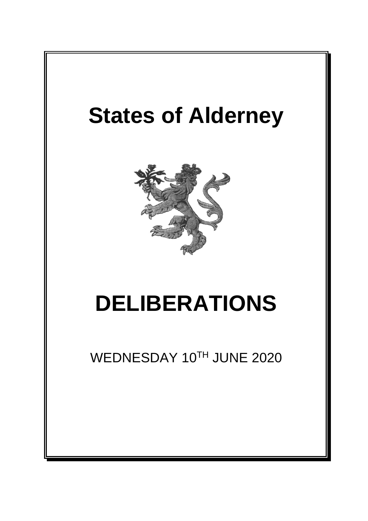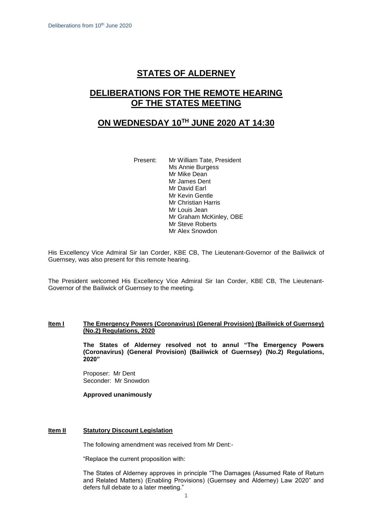# **STATES OF ALDERNEY**

# **DELIBERATIONS FOR THE REMOTE HEARING OF THE STATES MEETING**

## **ON WEDNESDAY 10 TH JUNE 2020 AT 14:30**

Present: Mr William Tate, President Ms Annie Burgess Mr Mike Dean Mr James Dent Mr David Earl Mr Kevin Gentle Mr Christian Harris Mr Louis Jean Mr Graham McKinley, OBE Mr Steve Roberts Mr Alex Snowdon

His Excellency Vice Admiral Sir Ian Corder, KBE CB, The Lieutenant-Governor of the Bailiwick of Guernsey, was also present for this remote hearing.

The President welcomed His Excellency Vice Admiral Sir Ian Corder, KBE CB, The Lieutenant-Governor of the Bailiwick of Guernsey to the meeting.

## **Item I The Emergency Powers (Coronavirus) (General Provision) (Bailiwick of Guernsey) (No.2) Regulations, 2020**

**The States of Alderney resolved not to annul "The Emergency Powers (Coronavirus) (General Provision) (Bailiwick of Guernsey) (No.2) Regulations, 2020"** 

Proposer: Mr Dent Seconder: Mr Snowdon

**Approved unanimously**

#### **Item II Statutory Discount Legislation**

The following amendment was received from Mr Dent:-

"Replace the current proposition with:

The States of Alderney approves in principle "The Damages (Assumed Rate of Return and Related Matters) (Enabling Provisions) (Guernsey and Alderney) Law 2020" and defers full debate to a later meeting."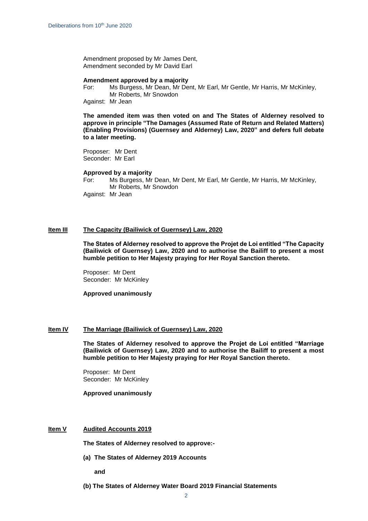Amendment proposed by Mr James Dent, Amendment seconded by Mr David Earl

#### **Amendment approved by a majority**

For: Ms Burgess, Mr Dean, Mr Dent, Mr Earl, Mr Gentle, Mr Harris, Mr McKinley, Mr Roberts, Mr Snowdon

Against: Mr Jean

**The amended item was then voted on and The States of Alderney resolved to approve in principle "The Damages (Assumed Rate of Return and Related Matters) (Enabling Provisions) (Guernsey and Alderney) Law, 2020" and defers full debate to a later meeting.**

Proposer: Mr Dent Seconder: Mr Earl

### **Approved by a majority**

For: Ms Burgess, Mr Dean, Mr Dent, Mr Earl, Mr Gentle, Mr Harris, Mr McKinley, Mr Roberts, Mr Snowdon Against: Mr Jean

#### **Item III The Capacity (Bailiwick of Guernsey) Law, 2020**

**The States of Alderney resolved to approve the Projet de Loi entitled "The Capacity (Bailiwick of Guernsey) Law, 2020 and to authorise the Bailiff to present a most humble petition to Her Majesty praying for Her Royal Sanction thereto.**

Proposer: Mr Dent Seconder: Mr McKinley

**Approved unanimously**

#### **Item IV The Marriage (Bailiwick of Guernsey) Law, 2020**

**The States of Alderney resolved to approve the Projet de Loi entitled "Marriage (Bailiwick of Guernsey) Law, 2020 and to authorise the Bailiff to present a most humble petition to Her Majesty praying for Her Royal Sanction thereto.**

Proposer: Mr Dent Seconder: Mr McKinley

**Approved unanimously**

#### **Item V Audited Accounts 2019**

**The States of Alderney resolved to approve:-**

**(a) The States of Alderney 2019 Accounts**

**and** 

**(b) The States of Alderney Water Board 2019 Financial Statements**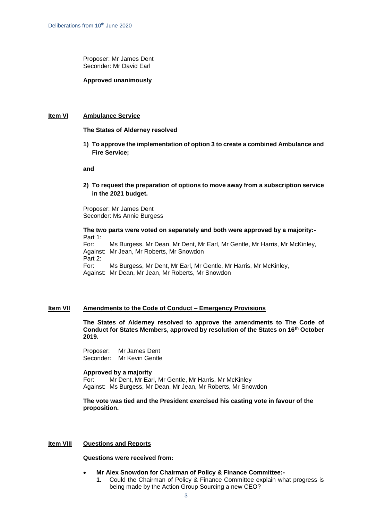Proposer: Mr James Dent Seconder: Mr David Earl

**Approved unanimously**

## **Item VI Ambulance Service**

**The States of Alderney resolved**

**1) To approve the implementation of option 3 to create a combined Ambulance and Fire Service;** 

**and**

**2) To request the preparation of options to move away from a subscription service in the 2021 budget.** 

Proposer: Mr James Dent Seconder: Ms Annie Burgess

**The two parts were voted on separately and both were approved by a majority:-** Part 1: For: Ms Burgess, Mr Dean, Mr Dent, Mr Earl, Mr Gentle, Mr Harris, Mr McKinley, Against: Mr Jean, Mr Roberts, Mr Snowdon Part 2: For: Ms Burgess, Mr Dent, Mr Earl, Mr Gentle, Mr Harris, Mr McKinley, Against: Mr Dean, Mr Jean, Mr Roberts, Mr Snowdon

### **Item VII Amendments to the Code of Conduct – Emergency Provisions**

**The States of Alderney resolved to approve the amendments to The Code of Conduct for States Members, approved by resolution of the States on 16th October 2019.**

Proposer: Mr James Dent Seconder: Mr Kevin Gentle

#### **Approved by a majority**

For: Mr Dent, Mr Earl, Mr Gentle, Mr Harris, Mr McKinley Against: Ms Burgess, Mr Dean, Mr Jean, Mr Roberts, Mr Snowdon

**The vote was tied and the President exercised his casting vote in favour of the proposition.**

#### **Item VIII Questions and Reports**

**Questions were received from:**

- **Mr Alex Snowdon for Chairman of Policy & Finance Committee:-**
	- **1.** Could the Chairman of Policy & Finance Committee explain what progress is being made by the Action Group Sourcing a new CEO?